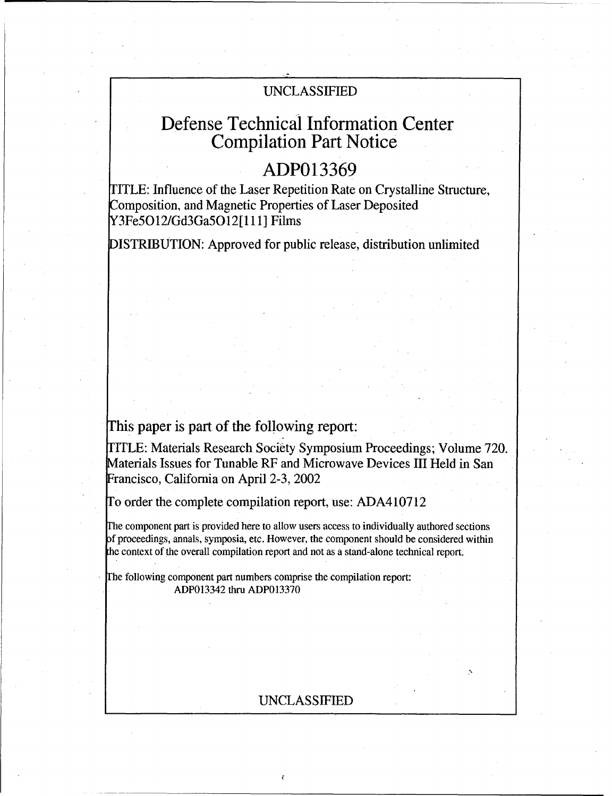# UNCLASSIFIED

# Defense Technical Information Center Compilation Part Notice

# **ADP013369**

TITLE: Influence of the Laser Repetition Rate on Crystalline Structure, Composition, and Magnetic Properties of Laser Deposited Y3Fe5O12/Gd3Ga5Ol2 **[** 11 ] Films

DISTRIBUTION: Approved for public release, distribution unlimited

# This paper is part of the following report:

TITLE: Materials Research Society Symposium Proceedings; Volume 720. Materials Issues for Tunable RF and Microwave Devices III Held in San Francisco, California on April 2-3, 2002

To order the complete compilation report, use: ADA410712

The component part is provided here to allow users access to individually authored sections f proceedings, annals, symposia, etc. However, the component should be considered within the context of the overall compilation report and not as a stand-alone technical report.

The following component part numbers comprise the compilation report: ADP013342 thru ADP013370

## UNCLASSIFIED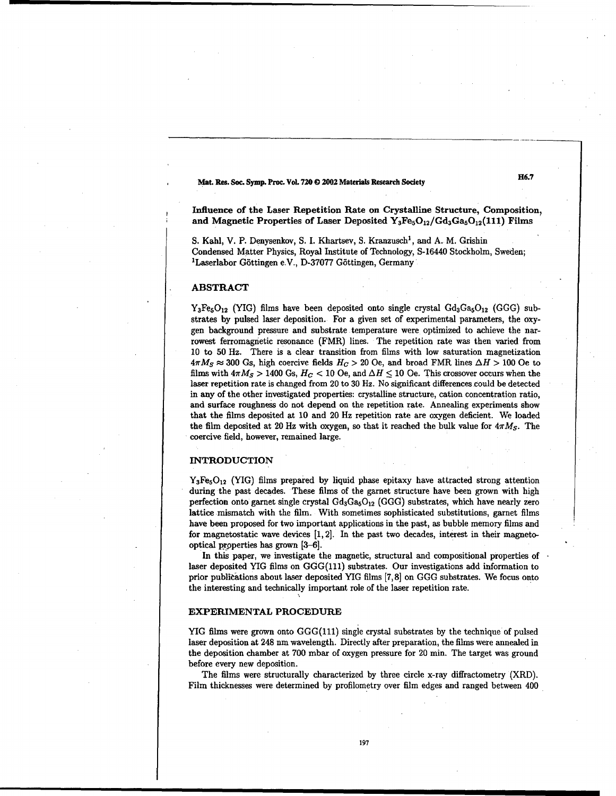### Mat. Res. Soc. Symp. Proc. Vol. **720 0** 2002 Materials Research Society **H6.7**

Influence of the Laser Repetition Rate on Crystalline Structure, Composition, and Magnetic Properties of Laser Deposited  $Y_3Fe<sub>5</sub>O<sub>12</sub>/Gd<sub>3</sub>Ga<sub>5</sub>O<sub>12</sub>(111)$  Films

S. Kahl, V. P. Denysenkov, S. I. Khartsev, S. Kranzusch', and A. M. Grishin Condensed Matter Physics, Royal Institute of Technology, S-16440 Stockholm, Sweden; <sup>1</sup>Laserlabor Göttingen e.V., D-37077 Göttingen, Germany

#### ABSTRACT

 $Y_3Fe_5O_{12}$  (YIG) films have been deposited onto single crystal  $Gd_3Ga_5O_{12}$  (GGG) substrates by pulsed laser deposition. For a given set of experimental parameters, the oxygen background pressure and substrate temperature were optimized to achieve the narrowest ferromagnetic resonance (FMR) lines. The repetition rate was then varied from 10 to 50 Hz. There is a clear transition from films with low saturation magnetization  $4\pi M_S \approx 300$  Gs, high coercive fields  $H_C > 20$  Oe, and broad FMR lines  $\Delta H > 100$  Oe to films with  $4\pi M_S > 1400$  Gs,  $H_C < 10$  Oe, and  $\Delta H \le 10$  Oe. This crossover occurs when the laser repetition rate is changed from 20 to 30 Hz. No significant differences could be detected in any of the other investigated properties: crystalline structure, cation concentration ratio, and surface roughness do not depend on the repetition rate. Annealing experiments show that the films deposited at 10 and 20 Hz repetition rate are oxygen deficient. We loaded the film deposited at 20 Hz with oxygen, so that it reached the bulk value for *4irMs.* The coercive field, however, remained large.

#### INTRODUCTION

 $Y_3Fe<sub>5</sub>O<sub>12</sub>$  (YIG) films prepared by liquid phase epitaxy have attracted strong attention during the past decades. These films of the garnet structure have been grown with high perfection onto garnet single crystal  $Gd_3Ga_5O_{12}$  (GGG) substrates, which have nearly zero lattice mismatch with the film. With sometimes sophisticated substitutions, garnet films have been proposed for two important applications in the past, as bubble memory films and for magnetostatic wave devices [1,2]. In the past two decades, interest in their magnetooptical prpoperties has grown [3-6].

In this paper, we investigate the magnetic, structural and compositional properties of laser deposited YIG films on GGG(111) substrates. Our investigations add information to prior publitations about laser deposited YIG films **[7,81** on GGG substrates. We focus onto the interesting and technically important role of the laser repetition rate.

#### EXPERIMENTAL PROCEDURE

YIG films were grown onto GGG(111) single crystal substrates by the technique of pulsed laser deposition at 248 nm wavelength. Directly after preparation, the films were annealed in the deposition chamber at 700 mbar of oxygen pressure for 20 min. The target was ground before every new deposition.

The films were structurally characterized by three circle x-ray diffractometry (XRD). Film thicknesses were determined by profilometry over film edges and ranged between 400

197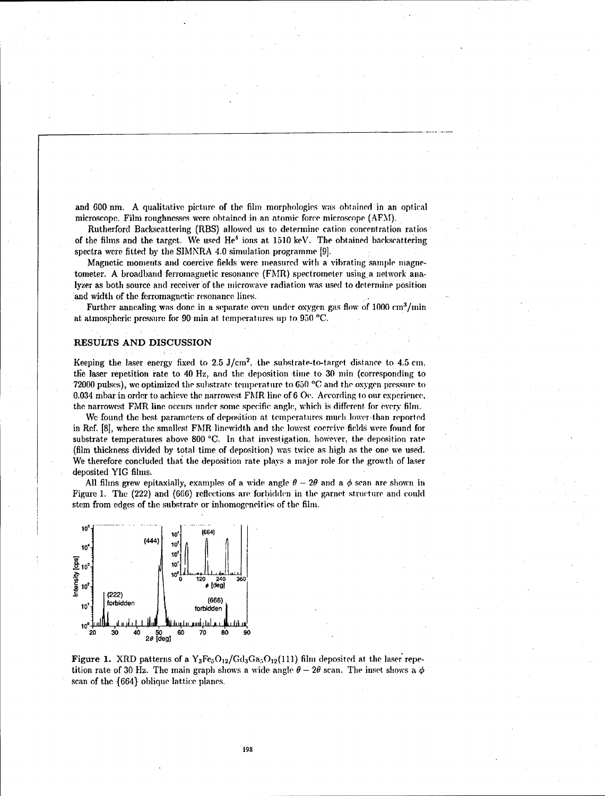and 600 nm. A qualitative picture of the film morphologies was obtained in an optical microscope. Film roughnesses were obtained in an atomic force microscope (AFM).

Rutherford Backscattering (RBS) allowed us to determine cation concentration ratios of the films and the target. We used  $He<sup>4</sup>$  ions at 1510 keV. The obtained backscattering spectra were fitted by the SIMNRA 4.0 simulation programme [9].

Magnetic moments and coercive fields were measured with a vibrating sample mnagnetometer. A broadband ferromagnetic resonance (FMR.) spectrometer using, a network analyzer as both source and receiver of the microwave radiation was used to determine position and width of the ferromagnetic resonance lines.

Further annealing was done in a separate oven under oxygen gas flow of  $1000 \text{ cm}^3/\text{min}$ at atmospheric pressure for 90 min at temperatures up to **950** *'C.*

#### RESULTS **AND DISCUSSION**

Keeping the laser energy fixed to 2.5 J/cm<sup>2</sup>, the substrate-to-target distance to 4.5 cm the laser repetition rate to 40 Hz, and the deposition time to 30 min (corresponding to 72000 pulses), we optimized the substrate temperature to **650 'C** and the oxygen pressure to 0.034 mbar in order to achieve the narrowest FMR line of 6 **Oc.** According to our experience, the narrowest FMR line occurs under some specific angle, which is different for every film.

We found the best parameters of deposition at temperatures much lower-than reported in Ref. [8], where the smallest FMR linewidth and the lowest coercive fields were found for substrate temperatures above 800 **'C.** In that investigation. howiever. the deposition rate (film thickness divided by total time of deposition) was twice as high as the one we used. We therefore concluded that the deposition rate plays a major role for the growth of laser deposited YIG films,

All films grew epitaxially, examples of a wide angle  $\theta - 2\theta$  and a  $\phi$  scan are shown in Figure 1. The (222) and (666) reflections are forbidden in the garnet structure and **could** stem from edges of the substrate or inhomogencities of the film.



Figure 1. XRD patterns of a  $Y_3Fe_3O_{12}/Gd_3Ga_3O_{12}(111)$  film deposited at the laser repetition rate of 30 Hz. The main graph shows a wide angle  $\theta - 2\theta$  scan. The inset shows a  $\phi$ scan of the {664} oblique lattice planes.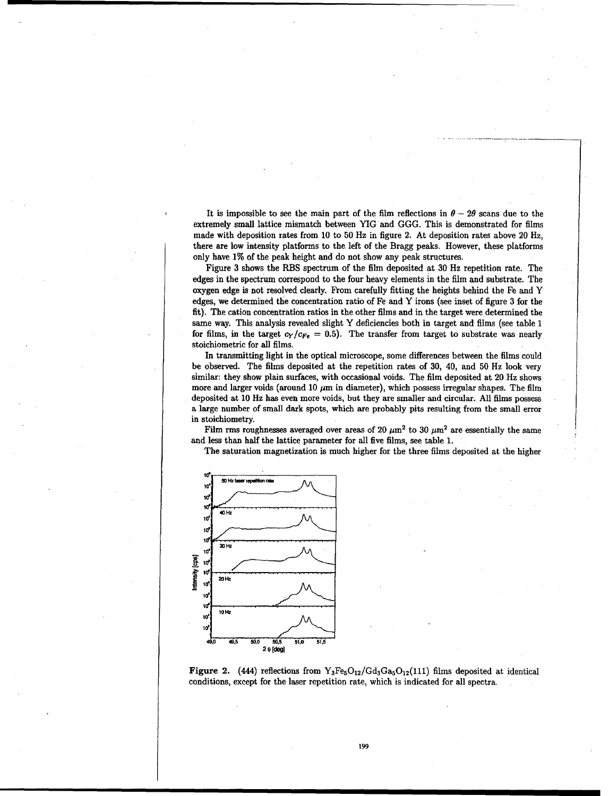It is impossible to see the main part of the film reflections in  $\theta - 2\theta$  scans due to the extremely small lattice mismatch between YIG and GGG. This is demonstrated for films made with deposition rates from 10 to 50 Hz in figure 2. At deposition rates above 20 Hz, there are low intensity platforms to the left of the Bragg peaks. However, these platforms only have 1% of the peak height and do not show any peak structures.

Figure 3 shows the RBS spectrum of the film deposited at 30 Hz repetition rate. The edges in the spectrum correspond to the four heavy elements in the film and substrate. The oxygen edge is not resolved clearly. From carefully fitting the heights behind the Fe and Y edges, we determined the concentration ratio of Fe and Y irons (see inset of figure 3 for the fit). The cation concentration ratios in the other films and in the target were determined the same way. This analysis revealed slight Y deficiencies both in target and films (see table 1 for films, in the target  $c_Y/c_{Fe} = 0.5$ ). The transfer from target to substrate was nearly stoichiometric for all films.

In transmitting light in the optical microscope, some differences between the films could be observed. The films deposited at the repetition rates of 30, 40, and 50 Hz look very similar: they show plain surfaces, with occasional voids. The film deposited at 20 Hz shows more and larger voids (around 10  $\mu$ m in diameter), which possess irregular shapes. The film deposited at 10 Hz has even more voids, but they are smaller and circular. All films possess a large number of small dark spots, which are probably pits resulting from the small error in stoichiometry.

Film rms roughnesses averaged over areas of 20  $\mu$ m<sup>2</sup> to 30  $\mu$ m<sup>2</sup> are essentially the same and less than half the lattice parameter for all five films, see table 1.

The saturation magnetization is much higher for the three films deposited at the higher



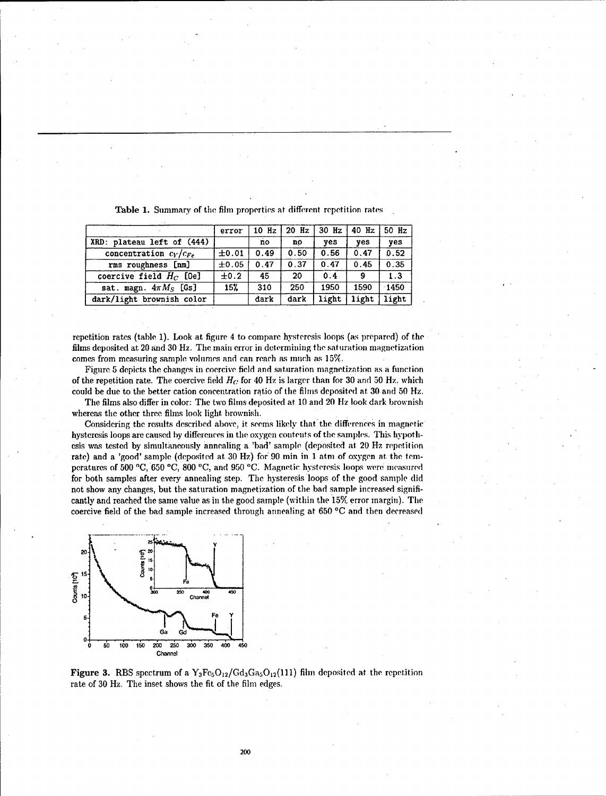|                            | error | $10$ Hz | $20$ Hz | $30$ Hz | $40$ Hz    | 50 Hz   |
|----------------------------|-------|---------|---------|---------|------------|---------|
| XRD: plateau left of (444) |       | no      | no      | ves     | <b>ves</b> | ves     |
| concentration $c_Y/c_{Fe}$ | ±0.01 | 0.49    | 0.50    | 0.56    | 0.47       | 0.52    |
| rms roughness [nm]         | ±0.05 | 0.47    | 0.37    | 0.47    | 0.45       | 0.35    |
| coercive field $H_C$ [Oe]  | ±0.2  | 45      | 20      | 0.4     | -9         | 1.3     |
| sat. magn. $4\pi M_S$ [Gs] | 15%   | 310     | 250     | 1950    | 1590       | $-1450$ |
| dark/light brownish color  |       | dark    | dark    | light   | light      | light   |

Table 1. Summary of the film properties at different repetition rates

repetition rates (table 1). Look at figure 4 to compare hysteresis loops (as prepared) of the films deposited at. 20 and 30 Hz. The main error in determining the saturation magnetization comes from measuring sample volumes and can reach as much as *15%.*

Figure 5 depicts the changes in coercive field and saturation magnetization as a function of the repetition rate. The coercive field *H(:* for 40 Hz is larger than for 30 and 50 Hz, which could be due to the better cation concentration ratio of the fihns deposited at 30 and 50 Hz.

The films also differ in color: The two films deposited at 10 and 20 Hz look dark brownish whereas the other three films look light brownish.

Considering the results described above, it seems likely that the differences in magnetic hysteresis loops are caused by differences in the oxygen contents of the samples. This hypothesis was tested by simultaneously annealing a 'bad' sample (deposited at 20 Hz repetition rate) and a 'good' sample (deposited at 30 Hz) for 90 min in 1 atm of oxygen at the temperatures of 500 **'C,** 650 **'C,** 800 **'C,** and 950 **ICi** Magnetic hysteresis loops were measured for both samples after every annealing step. The hysteresis loops of the good sample did not show any changes, but the saturation magnetization of the bad sample increased significantly and reached the same value as in the good sample (within the **15%** error margin). The coercive field of the bad sample increased through annealing at 650 **'C** and then decreased



Figure 3. RBS spectrum of a  $Y_3Fe_5O_{12}/Gd_3Ga_5O_{12}(111)$  film deposited at the repetition rate of 30 Hz. The inset shows the fit of the film edges.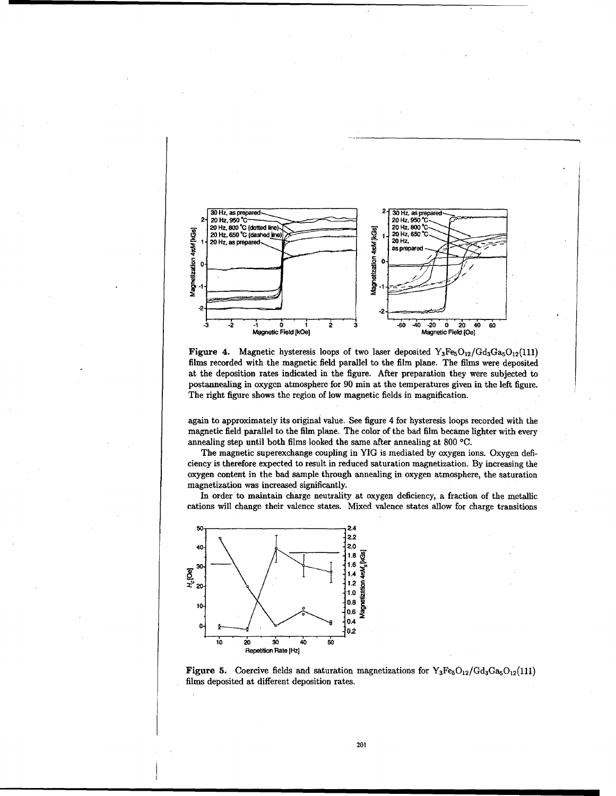

Figure 4. Magnetic hysteresis loops of two laser deposited  $Y_3Fe_5O_{12}/G_{d_3}Ga_5O_{12}(111)$ films recorded with the magnetic field parallel to the film plane. The films were deposited at the deposition rates indicated in the figure. After preparation they were subjected to postannealing in oxygen atmosphere for 90 min at the temperatures given in the left figure. The right figure shows the region of low magnetic fields in magnification.

again to approximately its original value. See figure 4 for hysteresis loops recorded with the magnetic field parallel to the film plane. The color of the bad film became lighter with every annealing step until both films looked the same after annealing at 800 **0C.**

The magnetic superexchange coupling in YIG is mediated by oxygen ions. Oxygen deficiency is therefore expected to result in reduced saturation magnetization. By increasing the oxygen content in the bad sample through annealing in oxygen atmosphere, the saturation magnetization was increased significantly.

In order to maintain charge neutrality at oxygen deficiency, a fraction of the metallic cations will change their valence states. Mixed valence states allow for charge transitions



Figure 5. Coercive fields and saturation magnetizations for  $Y_3Fe_5O_{12}/Gd_3Ga_5O_{12}(111)$ films deposited at different deposition rates.